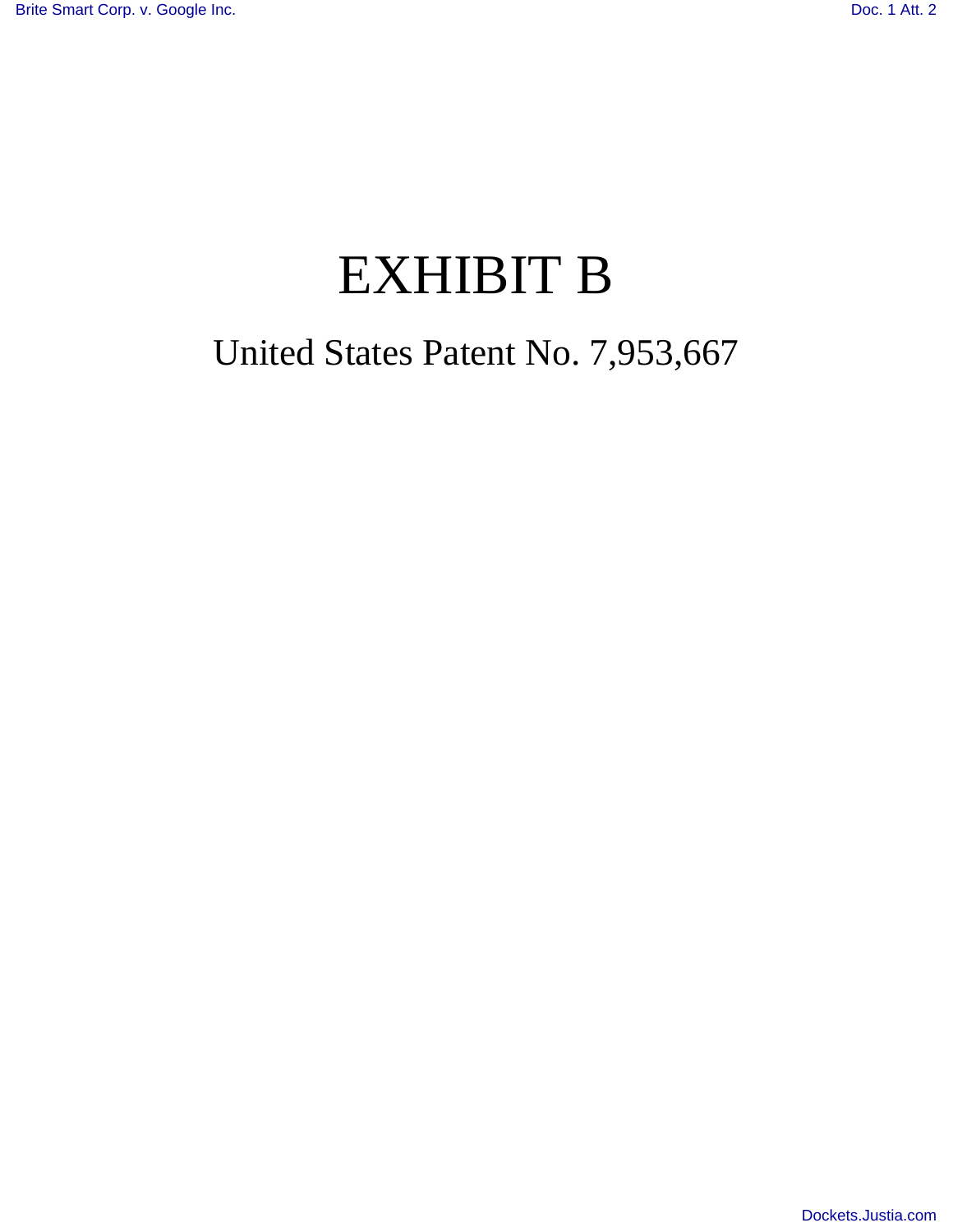# EXHIBIT B

## United States Patent No. 7,953,667

[Dockets.Justia.com](http://dockets.justia.com/)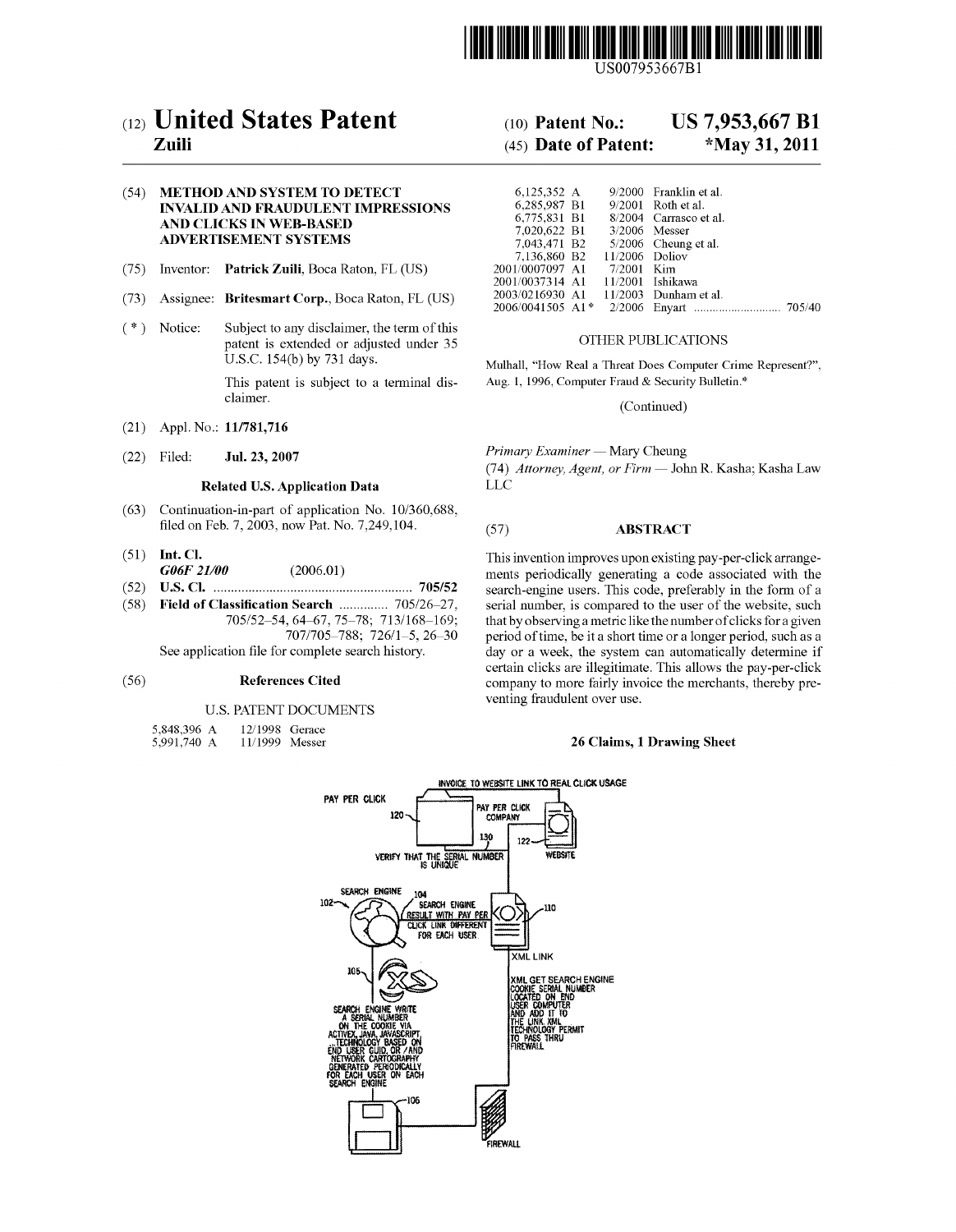

US007953667Bl

## c12) **United States Patent**

### **Zuili**

#### (54) **METHOD AND SYSTEM TO DETECT INVALID AND FRAUDULENT IMPRESSIONS AND CLICKS IN WEB-BASED ADVERTISEMENT SYSTEMS**

- (75) Inventor: **Patrick Zuili,** Boca Raton, FL (US)
- (73) Assignee: **Britesmart Corp.,** Boca Raton, FL (US)
- ( \*) Notice: Subject to any disclaimer, the term of this patent is extended or adjusted under 35 U.S.C. 154(b) by 731 days.

This patent is subject to a terminal disclaimer.

- (21) Appl. No.: **11/781,716**
- (22) Filed: **Jul.** 23, **2007**

#### **Related U.S. Application Data**

- (63) Continuation-in-part of application No. 10/360,688, filed on Feb. 7, 2003, now Pat. No. 7,249,104.
- (51) **Int. Cl.**  *G06F 21/00* (2006.01)
- (52) **U.S. Cl.** ......................................................... **705/52**
- (58) **Field of Classification Search** . ... ... ... ... . 705/26-27, 705/52-54, 64-67, 75-78; 713/168-169; 707 /705-788; 726/1-5, 26-30 See application file for complete search history.

#### (56) **References Cited**

#### U.S. PATENT DOCUMENTS

- 5,848,396 A 12/1998 Gerace
- 5,991,740 A 1111999 Messer

## (10) **Patent No.: US 7,953,667 Bl**

## (45) **Date of Patent: \*May 31, 2011**

| 6.125.352 A                 |  | 9/2000 Franklin et al.                |  |
|-----------------------------|--|---------------------------------------|--|
| 6.285.987 B1                |  | $9/2001$ Roth et al.                  |  |
|                             |  | 6.775.831 B1 8/2004 Carrasco et al.   |  |
| 7,020,622 B1 3/2006 Messer  |  |                                       |  |
|                             |  | 7,043,471 B2 5/2006 Cheung et al.     |  |
| 7,136,860 B2 11/2006 Doliov |  |                                       |  |
| 2001/0007097 A1 7/2001 Kim  |  |                                       |  |
| 2001/0037314 A1             |  | 11/2001 Ishikawa                      |  |
|                             |  | 2003/0216930 A1 11/2003 Dunham et al. |  |
|                             |  |                                       |  |

#### OTHER PUBLICATIONS

Mulhall, "How Real a Threat Does Computer Crime Represent?", Aug. 1, 1996, Computer Fraud & Security Bulletin.\*

(Continued)

*Primary Examiner-* Mary Cheung

(74) *Attorney, Agent, or Firm-* John R. Kasha; Kasha Law LLC

#### (57) **ABSTRACT**

This invention improves upon existing pay-per-click arrangements periodically generating a code associated with the search-engine users. This code, preferably in the form of a serial number, is compared to the user of the website, such that by observing a metric like the number of clicks for a given period of time, be it a short time or a longer period, such as a day or a week, the system can automatically determine if certain clicks are illegitimate. This allows the pay-per-click company to more fairly invoice the merchants, thereby preventing fraudulent over use.

#### **26 Claims, 1 Drawing Sheet**

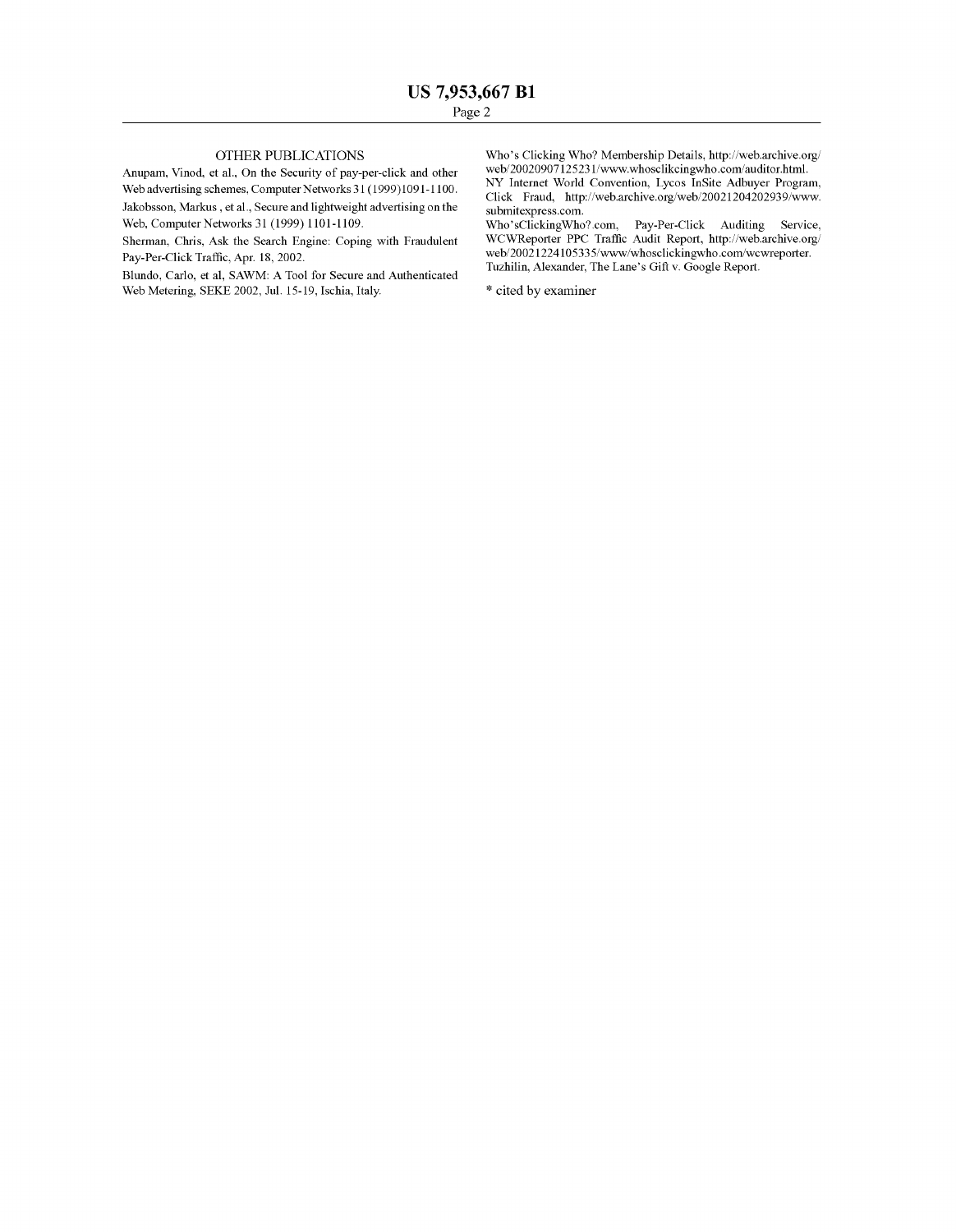#### OTHER PUBLICATIONS

Anupam, Vinod, et a!., On the Security of pay-per-click and other Web advertising schemes, Computer Networks 31 (1999)1091-1100.

Jakobsson, Markus, et al., Secure and lightweight advertising on the Web, Computer Networks 31 (1999) 1101-1109.

Sherman, Chris, Ask the Search Engine: Coping with Fraudulent Pay-Per-Click Traffic, Apr. 18, 2002.

Blundo, Carlo, et al, SAWM: A Tool for Secure and Authenticated Web Metering, SEKE 2002, Jul. 15-19, Ischia, Italy.

Who's Clicking Who? Membership Details, http://web.archive.org/ web/20020907125231/www.whosclikcingwho.com/auditor.html. NY Internet World Convention, Lycos InSite Adbuyer Program, Click Fraud, http://web.archive.org/web/20021204202939/www. submitexpress.com.

Who'sClickingWho?.com, Pay-Per-Click Auditing Service, WCWReporter PPC Traffic Audit Report, http://web.archive.org/ web/20021224105335/www/whosclickingwho.com/wcwreporter. Tuzhilin, Alexander, The Lane's Gift v. Google Report.

\* cited by examiner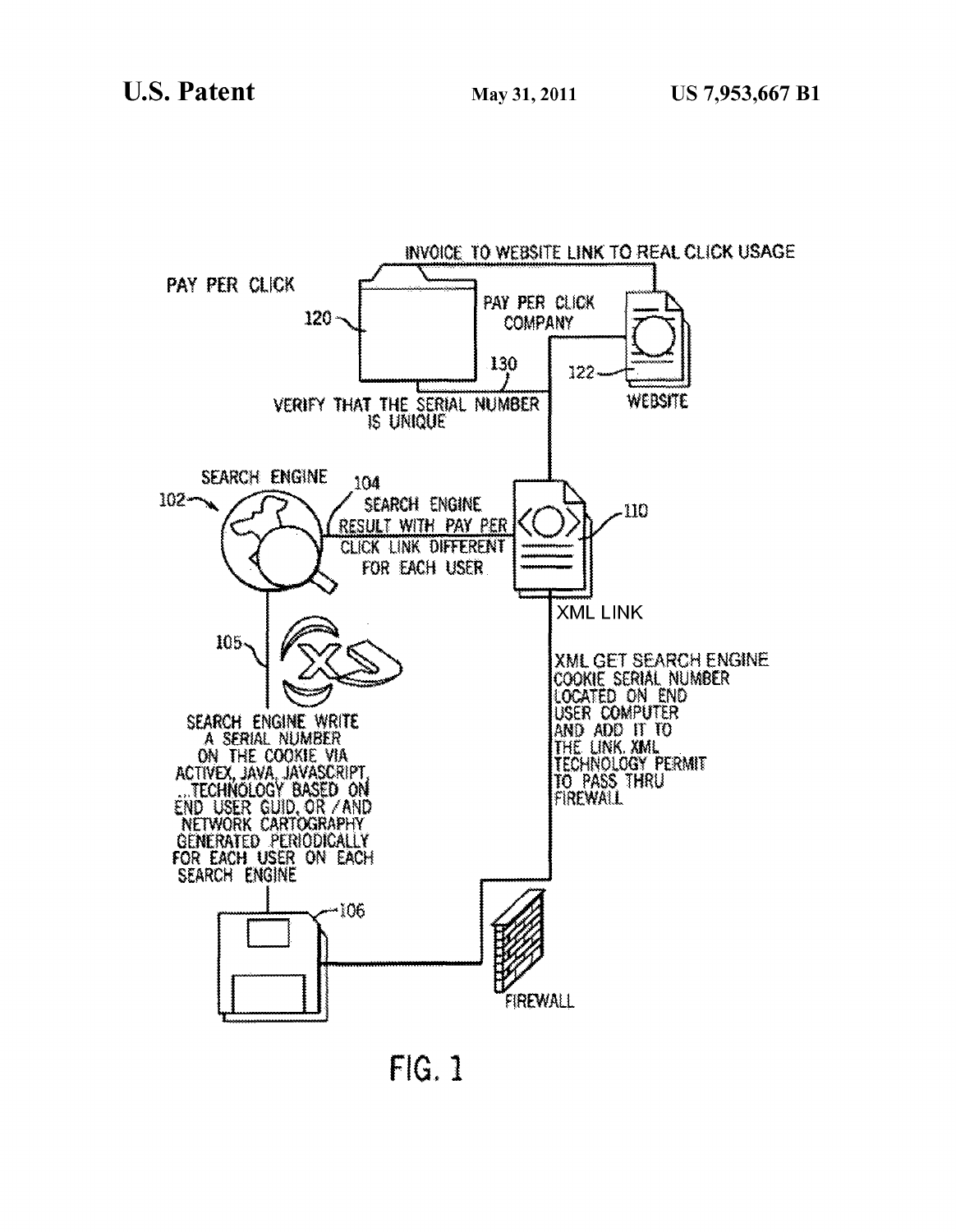

FIG. 1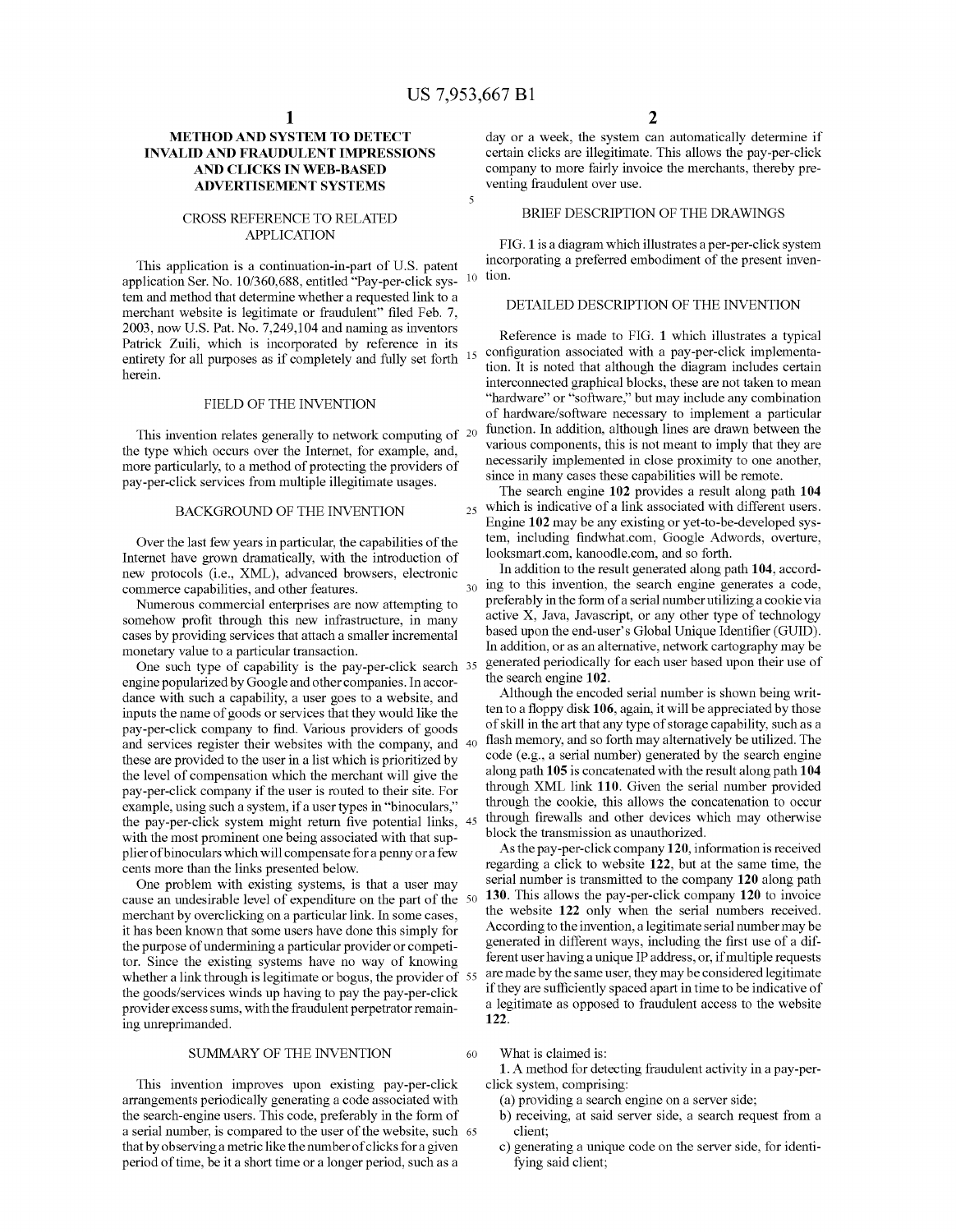5

#### **METHOD AND SYSTEM TO DETECT INVALID AND FRAUDULENT IMPRESSIONS AND CLICKS IN WEB-BASED ADVERTISEMENT SYSTEMS**

#### CROSS REFERENCE TO RELATED APPLICATION

This application is a continuation-in-part of U.S. patent application Ser. No. 10/360,688, entitled "Pay-per-click system and method that determine whether a requested link to a merchant website is legitimate or fraudulent" filed Feb. 7, 2003, now U.S. Pat. No. 7,249,104 and naming as inventors Patrick Zuili, which is incorporated by reference in its entirety for all purposes as if completely and fully set forth herein.

#### FIELD OF THE INVENTION

This invention relates generally to network computing of <sup>20</sup> the type which occurs over the Internet, for example, and, more particularly, to a method of protecting the providers of pay-per-click services from multiple illegitimate usages.

#### BACKGROUND OF THE INVENTION

Over the last few years in particular, the capabilities of the Internet have grown dramatically, with the introduction of new protocols (i.e., XML), advanced browsers, electronic commerce capabilities, and other features.

Numerous commercial enterprises are now attempting to somehow profit through this new infrastructure, in many cases by providing services that attach a smaller incremental monetary value to a particular transaction.

One such type of capability is the pay-per-click search 35 engine popularized by Google and other companies. In accordance with such a capability, a user goes to a website, and inputs the name of goods or services that they would like the pay-per-click company to find. Various providers of goods and services register their websites with the company, and these are provided to the user in a list which is prioritized by the level of compensation which the merchant will give the pay-per-click company if the user is routed to their site. For example, using such a system, if a user types in "binoculars," the pay-per-click system might return five potential links, with the most prominent one being associated with that supplier ofbinoculars which will compensate for a penny or a few cents more than the links presented below.

One problem with existing systems, is that a user may cause an undesirable level of expenditure on the part of the merchant by overclicking on a particular link. In some cases, it has been known that some users have done this simply for the purpose of undermining a particular provider or competitor. Since the existing systems have no way of knowing whether a link through is legitimate or bogus, the provider of 55 the goods/services winds up having to pay the pay-per-click provider excess sums, with the fraudulent perpetrator remaining unreprimanded.

#### SUMMARY OF THE INVENTION

This invention improves upon existing pay-per-click arrangements periodically generating a code associated with the search-engine users. This code, preferably in the form of a serial number, is compared to the user of the website, such 65 that by observing a metric like the number of clicks for a given period of time, be it a short time or a longer period, such as a

day or a week, the system can automatically determine if certain clicks are illegitimate. This allows the pay-per-click company to more fairly invoice the merchants, thereby preventing fraudulent over use.

#### BRIEF DESCRIPTION OF THE DRAWINGS

FIG. **1** is a diagram which illustrates a per-per-click system incorporating a preferred embodiment of the present inven-10 tion.

#### DETAILED DESCRIPTION OF THE INVENTION

Reference is made to FIG. **1** which illustrates a typical configuration associated with a pay-per-click implementation. It is noted that although the diagram includes certain interconnected graphical blocks, these are not taken to mean "hardware" or "software," but may include any combination of hardware/software necessary to implement a particular function. In addition, although lines are drawn between the various components, this is not meant to imply that they are necessarily implemented in close proximity to one another, since in many cases these capabilities will be remote.

The search engine **102** provides a result along path **104**  25 which is indicative of a link associated with different users. Engine **102** may be any existing or yet-to-be-developed system, including findwhat.com, Google Adwords, overture, looksmart.com, kanoodle.com, and so forth.

In addition to the result generated along path **104,** accord-30 ing to this invention, the search engine generates a code, preferably in the form of a serial number utilizing a cookie via active X, Java, Javascript, or any other type of technology based upon the end-user's Global Unique Identifier (GUID). In addition, or as an alternative, network cartography may be generated periodically for each user based upon their use of the search engine **102.** 

Although the encoded serial number is shown being written to a floppy disk **106,** again, it will be appreciated by those of skill in the art that any type of storage capability, such as a flash memory, and so forth may alternatively be utilized. The code (e.g., a serial number) generated by the search engine along path **105** is concatenated with the result along path **104**  through XML link **110.** Given the serial number provided through the cookie, this allows the concatenation to occur through firewalls and other devices which may otherwise block the transmission as unauthorized.

As the pay-per-click company **120,** information is received regarding a click to website **122,** but at the same time, the serial number is transmitted to the company **120** along path 50 **130.** This allows the pay-per-click company **120** to invoice the website **122** only when the serial numbers received. According to the invention, a legitimate serial number may be generated in different ways, including the first use of a different user having a unique IP address, or, if multiple requests are made by the same user, they may be considered legitimate if they are sufficiently spaced apart in time to be indicative of a legitimate as opposed to fraudulent access to the website **122.** 

60 What is claimed is:

**1.** A method for detecting fraudulent activity in a pay-perclick system, comprising:

- (a) providing a search engine on a server side;
- b) receiving, at said server side, a search request from a client;
- c) generating a unique code on the server side, for identifying said client;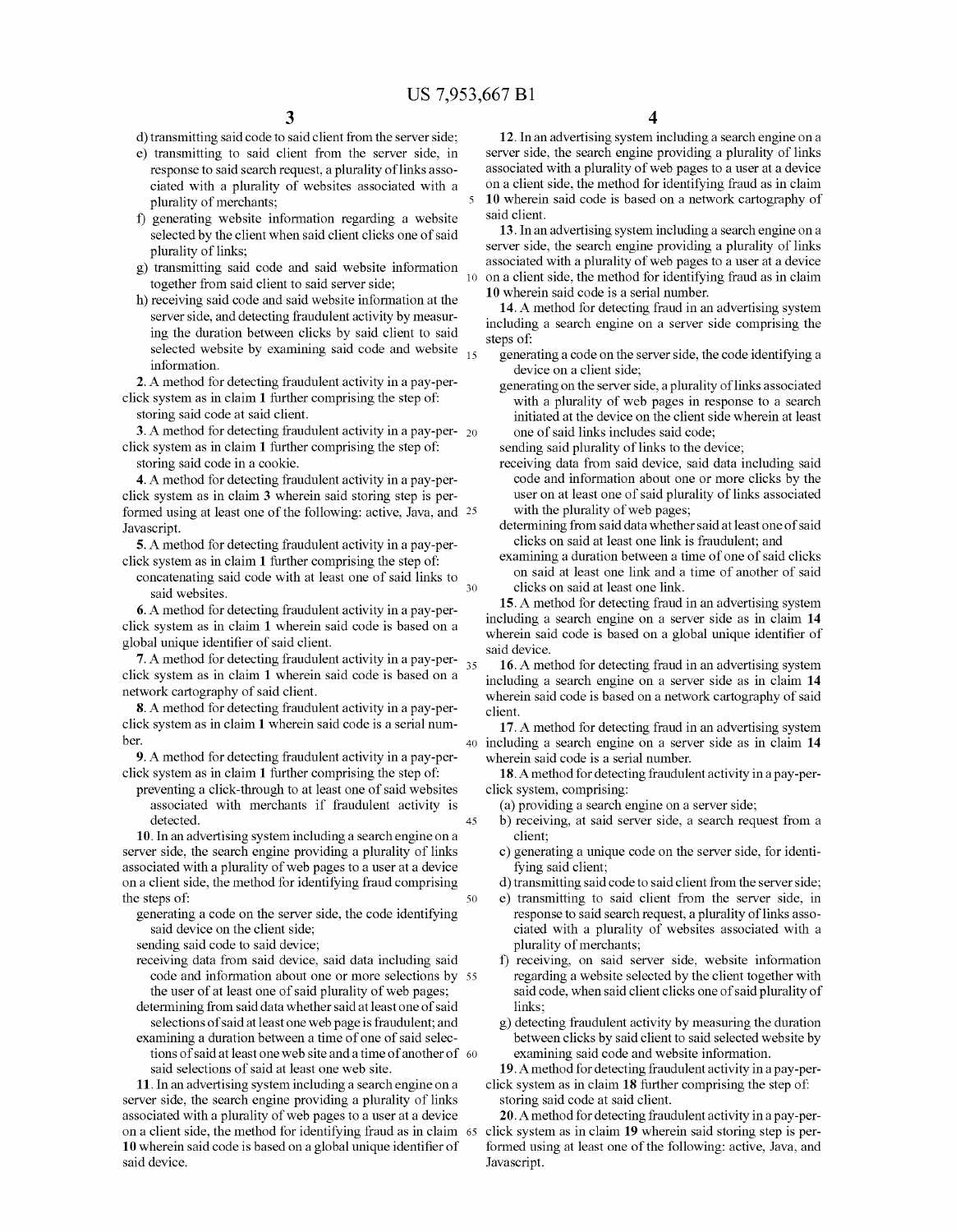$\overline{\mathbf{S}}$ 

45

50

d) transmitting said code to said client from the server side;

- e) transmitting to said client from the server side, in response to said search request, a plurality of links associated with a plurality of websites associated with a plurality of merchants;
- f) generating website information regarding a website selected by the client when said client clicks one of said plurality of links;
- g) transmitting said code and said website information together from said client to said server side;
- h) receiving said code and said website information at the server side, and detecting fraudulent activity by measuring the duration between clicks by said client to said selected website by examining said code and website  $_{15}$ information.

**2.** A method for detecting fraudulent activity in a pay-perclick system as in claim **1** further comprising the step of:

storing said code at said client.

**3.** A method for detecting fraudulent activity in a pay-per- 20 click system as in claim **1** further comprising the step of:

storing said code in a cookie.

**4.** A method for detecting fraudulent activity in a pay-perclick system as in claim **3** wherein said storing step is performed using at least one of the following: active, Java, and 25 Javascript.

**5.** A method for detecting fraudulent activity in a pay-perclick system as in claim **1** further comprising the step of:

concatenating said code with at least one of said links to said websites. 30

**6.** A method for detecting fraudulent activity in a pay-perclick system as in claim **1** wherein said code is based on a global unique identifier of said client.

**7.** A method for detecting fraudulent activity in a pay-perclick system as in claim **1** wherein said code is based on a network cartography of said client.

8. A method for detecting fraudulent activity in a pay-per-<br>client click system as in claim **1** wherein said code is a serial number.

**9.** A method for detecting fraudulent activity in a pay-perclick system as in claim **1** further comprising the step of:

preventing a click-through to at least one of said websites associated with merchants if fraudulent activity is detected.

**10.** In an advertising system including a search engine on a server side, the search engine providing a plurality of links associated with a plurality of web pages to a user at a device on a client side, the method for identifying fraud comprising the steps of:

generating a code on the server side, the code identifying said device on the client side;

sending said code to said device;

- receiving data from said device, said data including said code and information about one or more selections by 55 the user of at least one of said plurality of web pages;
- determining from said data whether said at least one of said selections of said at least one web page is fraudulent; and examining a duration between a time of one of said selec-
- tions of said at least one web site and a time of another of 60 said selections of said at least one web site.

**11.** In an advertising system including a search engine on a server side, the search engine providing a plurality of links associated with a plurality of web pages to a user at a device on a client side, the method for identifying fraud as in claim 65 click system as in claim **19** wherein said storing step is per-**10** wherein said code is based on a global unique identifier of said device.

**4** 

**12.** In an advertising system including a search engine on a server side, the search engine providing a plurality of links associated with a plurality of web pages to a user at a device on a client side, the method for identifying fraud as in claim **10** wherein said code is based on a network cartography of said client.

**13.** In an advertising system including a search engine on a server side, the search engine providing a plurality of links associated with a plurality of web pages to a user at a device on a client side, the method for identifying fraud as in claim **10** wherein said code is a serial number.

**14.** A method for detecting fraud in an advertising system including a search engine on a server side comprising the steps of:

- generating a code on the server side, the code identifying a device on a client side;
- generating on the server side, a plurality of links associated with a plurality of web pages in response to a search initiated at the device on the client side wherein at least one of said links includes said code;

sending said plurality of links to the device;

- receiving data from said device, said data including said code and information about one or more clicks by the user on at least one of said plurality of links associated with the plurality of web pages;
- determining from said data whether said at least one of said clicks on said at least one link is fraudulent; and
- examining a duration between a time of one of said clicks on said at least one link and a time of another of said clicks on said at least one link.

**15.** A method for detecting fraud in an advertising system including a search engine on a server side as in claim **14**  wherein said code is based on a global unique identifier of said device.

**16.** A method for detecting fraud in an advertising system including a search engine on a server side as in claim **14**  wherein said code is based on a network cartography of said

**17.** A method for detecting fraud in an advertising system 40 including a search engine on a server side as in claim **14**  wherein said code is a serial number.

**18.** A method for detecting fraudulent activity in a pay-perclick system, comprising:

(a) providing a search engine on a server side;

- b) receiving, at said server side, a search request from a client;
- c) generating a unique code on the server side, for identifying said client;

d) transmitting said code to said client from the server side;

- e) transmitting to said client from the server side, in response to said search request, a plurality of links associated with a plurality of websites associated with a plurality of merchants;
- f) receiving, on said server side, website information regarding a website selected by the client together with said code, when said client clicks one of said plurality of links;
- g) detecting fraudulent activity by measuring the duration between clicks by said client to said selected website by examining said code and website information.

**19.** A method for detecting fraudulent activity in a pay-perclick system as in claim **18** further comprising the step of: storing said code at said client.

**20.** A method for detecting fraudulent activity in a pay-performed using at least one of the following: active, Java, and Javascript.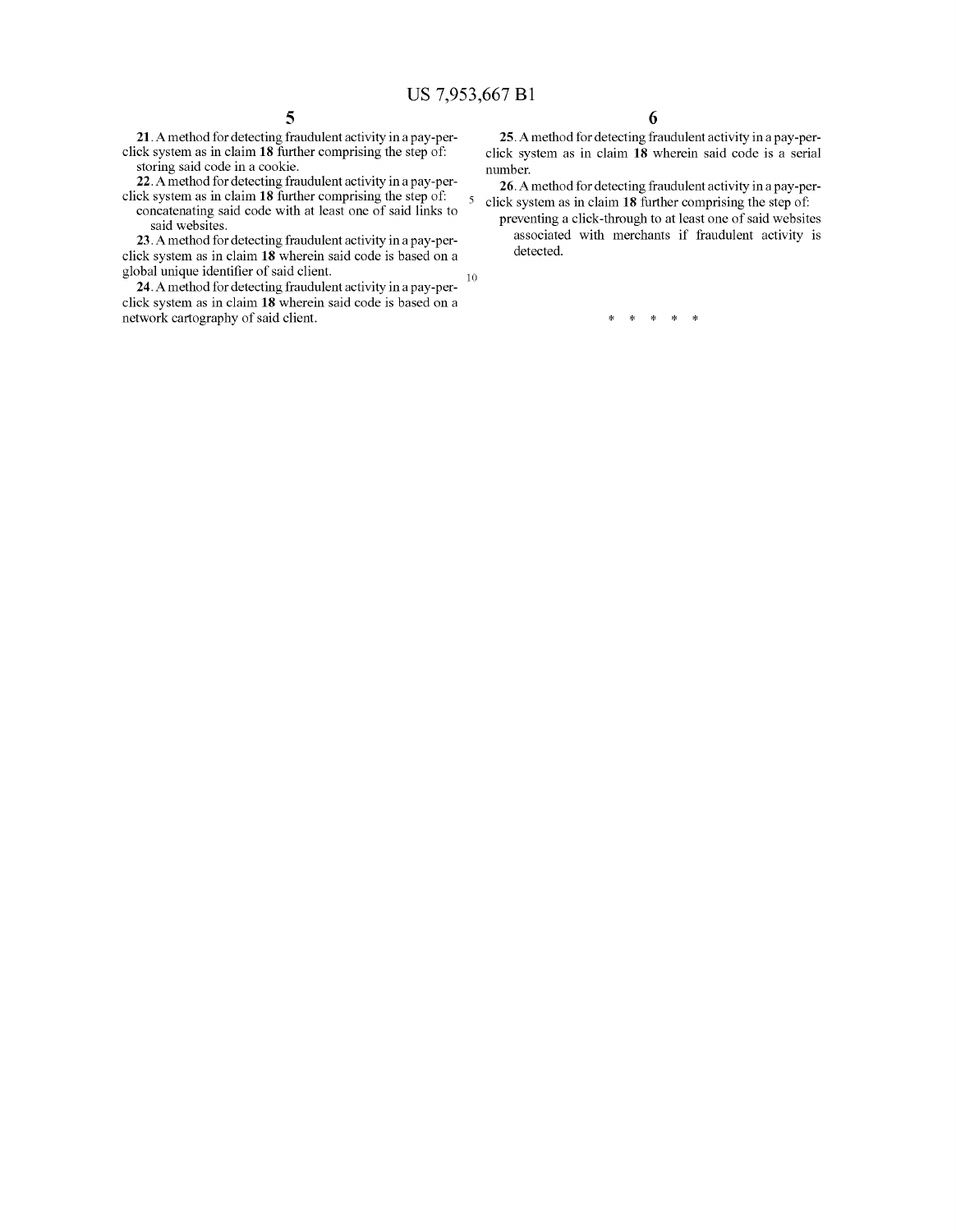**21.** A method for detecting fraudulent activity in a pay-perclick system as in claim **18** further comprising the step of: storing said code in a cookie.

**22.** A method for detecting fraudulent activity in a pay-perclick system as in claim **18** further comprising the step of:

concatenating said code with at least one of said links to said websites.

**23.** A method for detecting fraudulent activity in a pay-perclick system as in claim **18** wherein said code is based on a global unique identifier of said client.

**24.** A method for detecting fraudulent activity in a pay-perclick system as in claim **18** wherein said code is based on a network cartography of said client. 10

**25.** A method for detecting fraudulent activity in a pay-perclick system as in claim **18** wherein said code is a serial number.

**26.** A method for detecting fraudulent activity in a pay-per-5 click system as in claim **18** further comprising the step of:

preventing a click-through to at least one of said websites associated with merchants if fraudulent activity is detected.

\* \* \* \* \*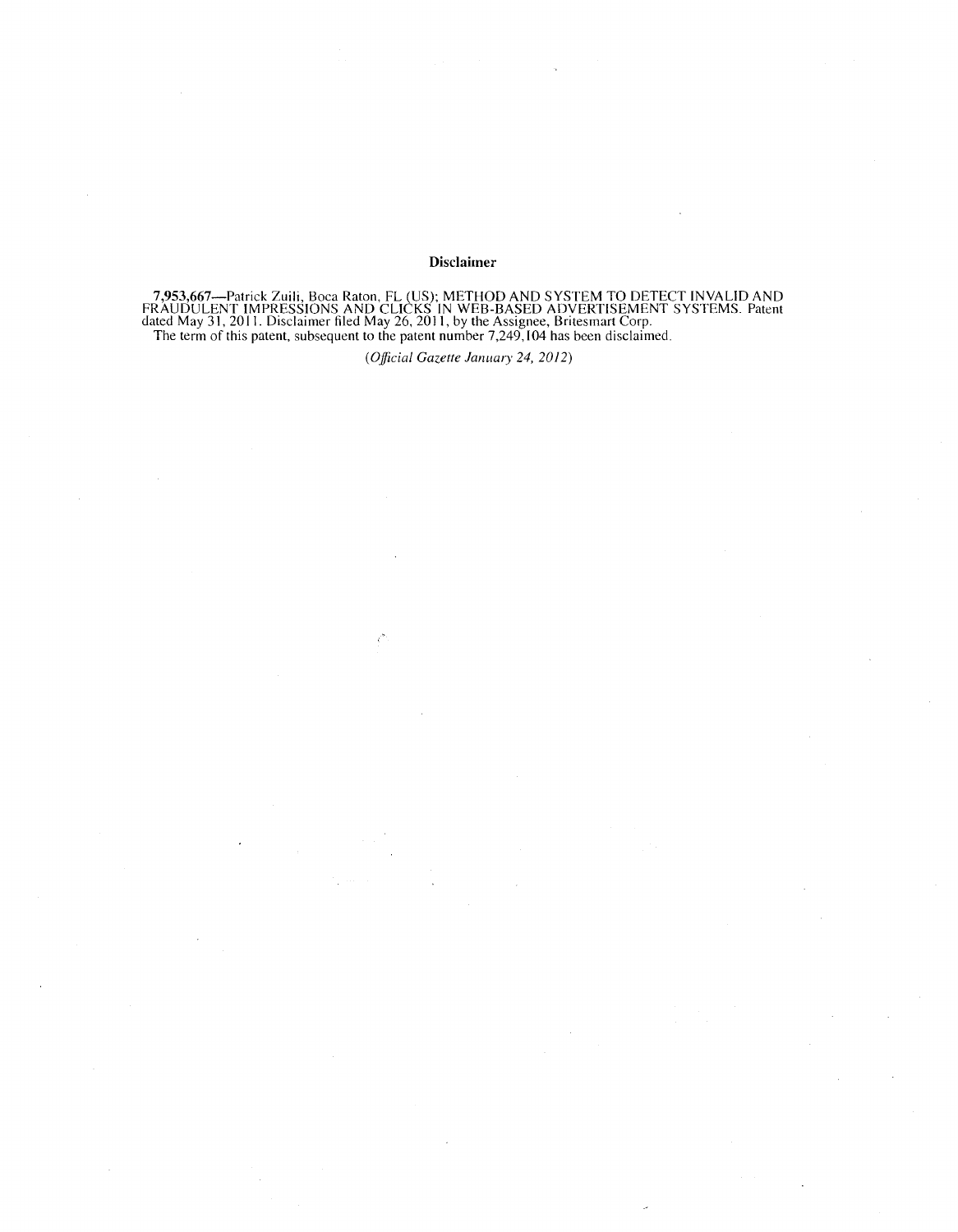#### **Disclaimer**

7,953,667—Patrick Zuili, Boca Raton, FL (US); METHOD AND SYSTEM TO DETECT INVALID AND<br>FRAUDULENT IMPRESSIONS AND CLICKS IN WEB-BASED ADVERTISEMENT SYSTEMS. Patent<br>dated May 31, 2011. Disclaimer filed May 26, 2011, by the A The term of this patent, subsequent to the patent number 7,249, 104 has been disclaimed.

*(Official Gazette January 24,* 2012)

Č